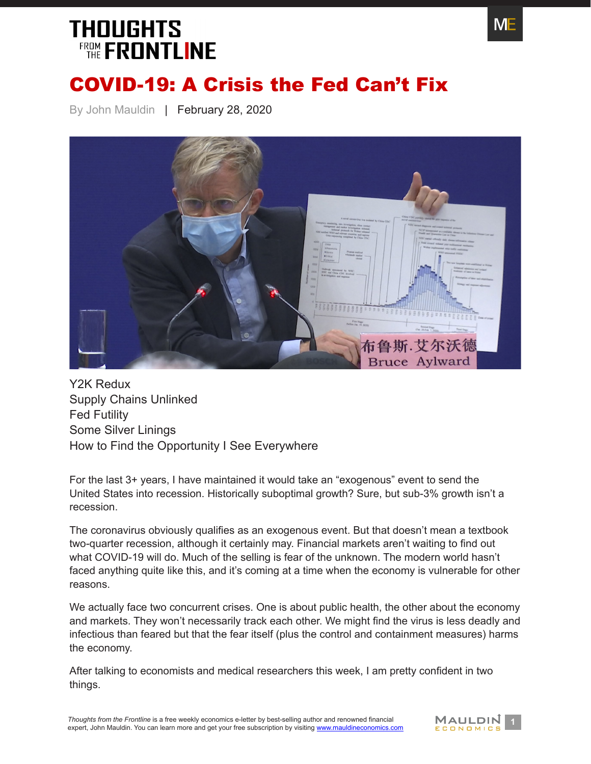

#### COVID-19: A Crisis the Fed Can't Fix

By John Mauldin | February 28, 2020



[Y2K Redux](#page-1-0) [Supply Chains Unlinked](#page-2-0) [Fed Futility](#page-4-0) [Some Silver Linings](#page-6-0) [How to Find the Opportunity I See Everywhere](#page-8-0)

For the last 3+ years, I have maintained it would take an "exogenous" event to send the United States into recession. Historically suboptimal growth? Sure, but sub-3% growth isn't a recession.

The coronavirus obviously qualifies as an exogenous event. But that doesn't mean a textbook two-quarter recession, although it certainly may. Financial markets aren't waiting to find out what COVID-19 will do. Much of the selling is fear of the unknown. The modern world hasn't faced anything quite like this, and it's coming at a time when the economy is vulnerable for other reasons.

We actually face two concurrent crises. One is about public health, the other about the economy and markets. They won't necessarily track each other. We might find the virus is less deadly and infectious than feared but that the fear itself (plus the control and containment measures) harms the economy.

After talking to economists and medical researchers this week, I am pretty confident in two things.

**1** *Thoughts from the Frontline* is a free weekly economics e-letter by best-selling author and renowned financial **MALLDIN**<br>
expert, John Mauldin. You can learn more and get your free subscription by visiting www.mauldin expert, John Mauldin. You can learn more and get your free subscription by visiting [www.mauldineconomics.com](http://www.mauldineconomics.com/subscribe)

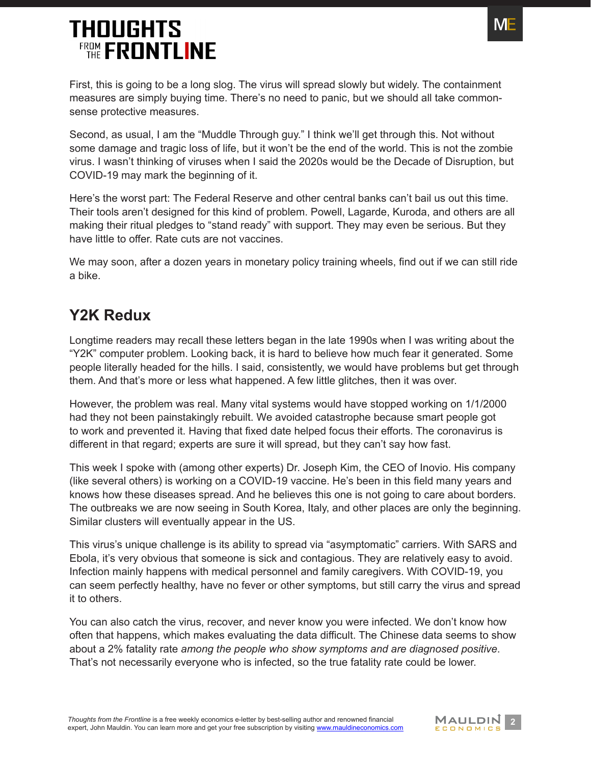

First, this is going to be a long slog. The virus will spread slowly but widely. The containment measures are simply buying time. There's no need to panic, but we should all take commonsense protective measures.

Second, as usual, I am the "Muddle Through guy." I think we'll get through this. Not without some damage and tragic loss of life, but it won't be the end of the world. This is not the zombie virus. I wasn't thinking of viruses when I said the 2020s would be the Decade of Disruption, but COVID-19 may mark the beginning of it.

Here's the worst part: The Federal Reserve and other central banks can't bail us out this time. Their tools aren't designed for this kind of problem. Powell, Lagarde, Kuroda, and others are all making their ritual pledges to "stand ready" with support. They may even be serious. But they have little to offer. Rate cuts are not vaccines.

We may soon, after a dozen years in monetary policy training wheels, find out if we can still ride a bike.

#### <span id="page-1-0"></span>**Y2K Redux**

Longtime readers may recall these letters began in the late 1990s when I was writing about the "Y2K" computer problem. Looking back, it is hard to believe how much fear it generated. Some people literally headed for the hills. I said, consistently, we would have problems but get through them. And that's more or less what happened. A few little glitches, then it was over.

However, the problem was real. Many vital systems would have stopped working on 1/1/2000 had they not been painstakingly rebuilt. We avoided catastrophe because smart people got to work and prevented it. Having that fixed date helped focus their efforts. The coronavirus is different in that regard; experts are sure it will spread, but they can't say how fast.

This week I spoke with (among other experts) Dr. Joseph Kim, the CEO of Inovio. His company (like several others) is working on a COVID-19 vaccine. He's been in this field many years and knows how these diseases spread. And he believes this one is not going to care about borders. The outbreaks we are now seeing in South Korea, Italy, and other places are only the beginning. Similar clusters will eventually appear in the US.

This virus's unique challenge is its ability to spread via "asymptomatic" carriers. With SARS and Ebola, it's very obvious that someone is sick and contagious. They are relatively easy to avoid. Infection mainly happens with medical personnel and family caregivers. With COVID-19, you can seem perfectly healthy, have no fever or other symptoms, but still carry the virus and spread it to others.

You can also catch the virus, recover, and never know you were infected. We don't know how often that happens, which makes evaluating the data difficult. The Chinese data seems to show about a 2% fatality rate *among the people who show symptoms and are diagnosed positive*. That's not necessarily everyone who is infected, so the true fatality rate could be lower.

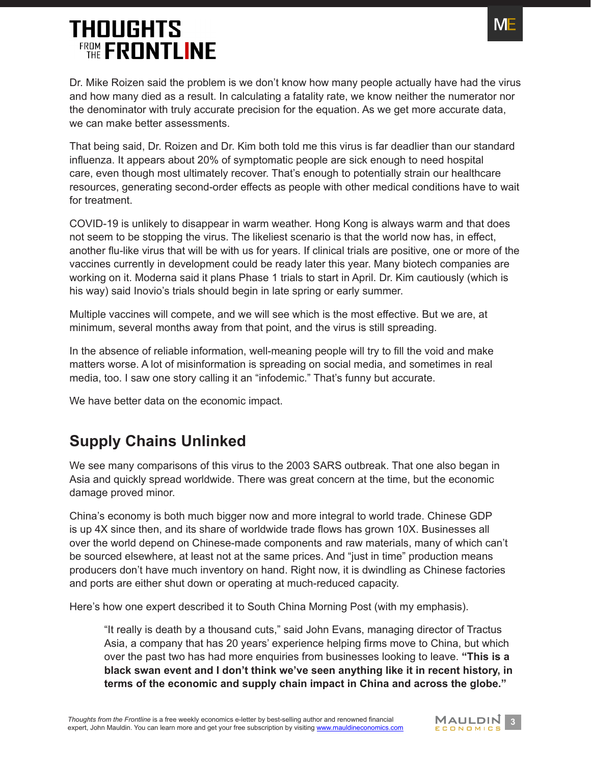

Dr. Mike Roizen said the problem is we don't know how many people actually have had the virus and how many died as a result. In calculating a fatality rate, we know neither the numerator nor the denominator with truly accurate precision for the equation. As we get more accurate data, we can make better assessments.

That being said, Dr. Roizen and Dr. Kim both told me this virus is far deadlier than our standard influenza. It appears about 20% of symptomatic people are sick enough to need hospital care, even though most ultimately recover. That's enough to potentially strain our healthcare resources, generating second-order effects as people with other medical conditions have to wait for treatment.

COVID-19 is unlikely to disappear in warm weather. Hong Kong is always warm and that does not seem to be stopping the virus. The likeliest scenario is that the world now has, in effect, another flu-like virus that will be with us for years. If clinical trials are positive, one or more of the vaccines currently in development could be ready later this year. Many biotech companies are working on it. Moderna said it plans Phase 1 trials to start in April. Dr. Kim cautiously (which is his way) said Inovio's trials should begin in late spring or early summer.

Multiple vaccines will compete, and we will see which is the most effective. But we are, at minimum, several months away from that point, and the virus is still spreading.

In the absence of reliable information, well-meaning people will try to fill the void and make matters worse. A lot of misinformation is spreading on social media, and sometimes in real media, too. I saw one story calling it an "infodemic." That's funny but accurate.

We have better data on the economic impact.

#### <span id="page-2-0"></span>**Supply Chains Unlinked**

We see many comparisons of this virus to the 2003 SARS outbreak. That one also began in Asia and quickly spread worldwide. There was great concern at the time, but the economic damage proved minor.

China's economy is both much bigger now and more integral to world trade. Chinese GDP is up 4X since then, and its share of worldwide trade flows has grown 10X. Businesses all over the world depend on Chinese-made components and raw materials, many of which can't be sourced elsewhere, at least not at the same prices. And "just in time" production means producers don't have much inventory on hand. Right now, it is dwindling as Chinese factories and ports are either shut down or operating at much-reduced capacity.

Here's how one expert described it to South China Morning Post (with my emphasis).

"It really is death by a thousand cuts," said John Evans, managing director of Tractus Asia, a company that has 20 years' experience helping firms move to China, but which over the past two has had more enquiries from businesses looking to leave. **"This is a black swan event and I don't think we've seen anything like it in recent history, in terms of the economic and supply chain impact in China and across the globe."**

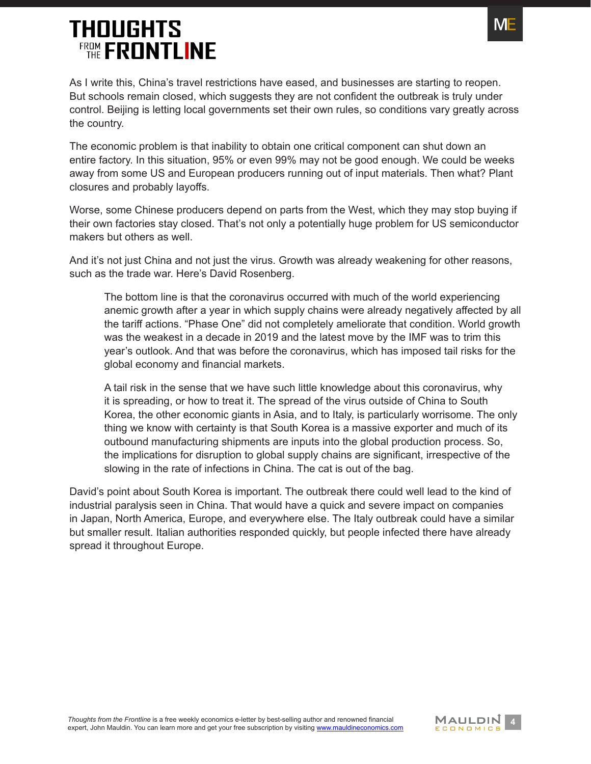

As I write this, China's travel restrictions have eased, and businesses are starting to reopen. But schools remain closed, which suggests they are not confident the outbreak is truly under control. Beijing is letting local governments set their own rules, so conditions vary greatly across the country.

The economic problem is that inability to obtain one critical component can shut down an entire factory. In this situation, 95% or even 99% may not be good enough. We could be weeks away from some US and European producers running out of input materials. Then what? Plant closures and probably layoffs.

Worse, some Chinese producers depend on parts from the West, which they may stop buying if their own factories stay closed. That's not only a potentially huge problem for US semiconductor makers but others as well.

And it's not just China and not just the virus. Growth was already weakening for other reasons, such as the trade war. Here's David Rosenberg.

The bottom line is that the coronavirus occurred with much of the world experiencing anemic growth after a year in which supply chains were already negatively affected by all the tariff actions. "Phase One" did not completely ameliorate that condition. World growth was the weakest in a decade in 2019 and the latest move by the IMF was to trim this year's outlook. And that was before the coronavirus, which has imposed tail risks for the global economy and financial markets.

A tail risk in the sense that we have such little knowledge about this coronavirus, why it is spreading, or how to treat it. The spread of the virus outside of China to South Korea, the other economic giants in Asia, and to Italy, is particularly worrisome. The only thing we know with certainty is that South Korea is a massive exporter and much of its outbound manufacturing shipments are inputs into the global production process. So, the implications for disruption to global supply chains are significant, irrespective of the slowing in the rate of infections in China. The cat is out of the bag.

David's point about South Korea is important. The outbreak there could well lead to the kind of industrial paralysis seen in China. That would have a quick and severe impact on companies in Japan, North America, Europe, and everywhere else. The Italy outbreak could have a similar but smaller result. Italian authorities responded quickly, but people infected there have already spread it throughout Europe.

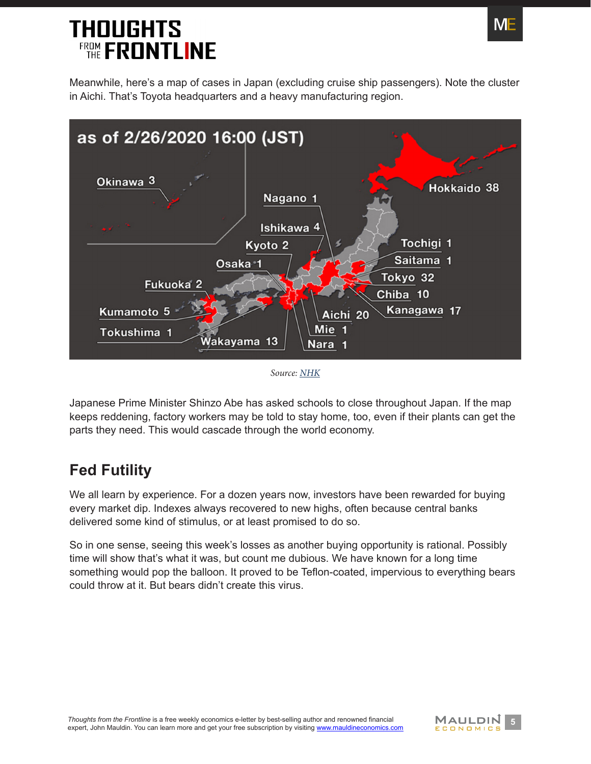Meanwhile, here's a map of cases in Japan (excluding cruise ship passengers). Note the cluster in Aichi. That's Toyota headquarters and a heavy manufacturing region.



*Source: [NHK](https://www3.nhk.or.jp/nhkworld/en/news/backstories/892/)*

Japanese Prime Minister Shinzo Abe has asked schools to close throughout Japan. If the map keeps reddening, factory workers may be told to stay home, too, even if their plants can get the parts they need. This would cascade through the world economy.

#### <span id="page-4-0"></span>**Fed Futility**

We all learn by experience. For a dozen years now, investors have been rewarded for buying every market dip. Indexes always recovered to new highs, often because central banks delivered some kind of stimulus, or at least promised to do so.

So in one sense, seeing this week's losses as another buying opportunity is rational. Possibly time will show that's what it was, but count me dubious. We have known for a long time something would pop the balloon. It proved to be Teflon-coated, impervious to everything bears could throw at it. But bears didn't create this virus.



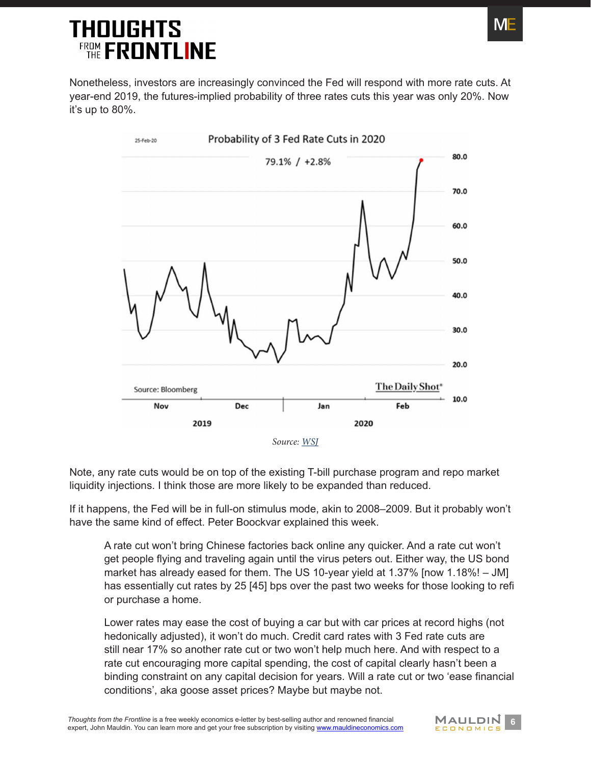Nonetheless, investors are increasingly convinced the Fed will respond with more rate cuts. At year-end 2019, the futures-implied probability of three rates cuts this year was only 20%. Now it's up to 80%.



Note, any rate cuts would be on top of the existing T-bill purchase program and repo market liquidity injections. I think those are more likely to be expanded than reduced.

If it happens, the Fed will be in full-on stimulus mode, akin to 2008–2009. But it probably won't have the same kind of effect. Peter Boockvar explained this week.

A rate cut won't bring Chinese factories back online any quicker. And a rate cut won't get people flying and traveling again until the virus peters out. Either way, the US bond market has already eased for them. The US 10-year yield at 1.37% [now 1.18%! – JM] has essentially cut rates by 25 [45] bps over the past two weeks for those looking to refi or purchase a home.

Lower rates may ease the cost of buying a car but with car prices at record highs (not hedonically adjusted), it won't do much. Credit card rates with 3 Fed rate cuts are still near 17% so another rate cut or two won't help much here. And with respect to a rate cut encouraging more capital spending, the cost of capital clearly hasn't been a binding constraint on any capital decision for years. Will a rate cut or two 'ease financial conditions', aka goose asset prices? Maybe but maybe not.



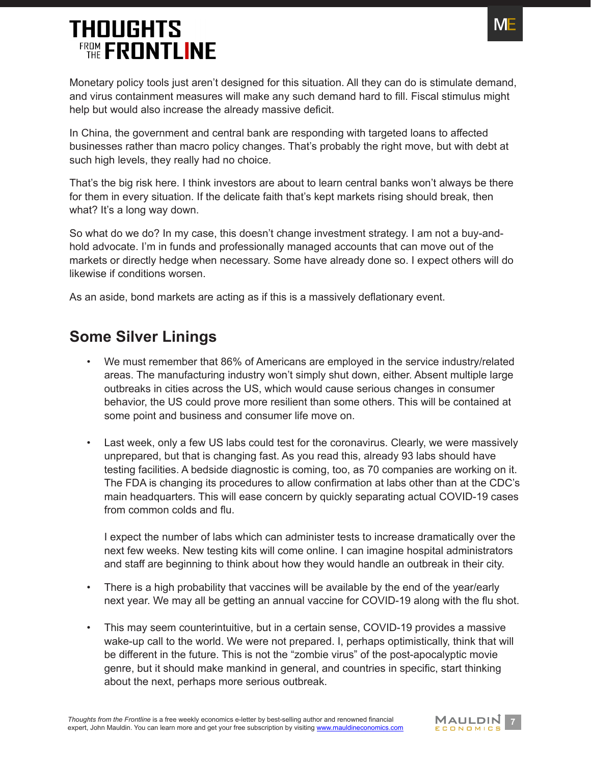

Monetary policy tools just aren't designed for this situation. All they can do is stimulate demand, and virus containment measures will make any such demand hard to fill. Fiscal stimulus might help but would also increase the already massive deficit.

In China, the government and central bank are responding with targeted loans to affected businesses rather than macro policy changes. That's probably the right move, but with debt at such high levels, they really had no choice.

That's the big risk here. I think investors are about to learn central banks won't always be there for them in every situation. If the delicate faith that's kept markets rising should break, then what? It's a long way down.

So what do we do? In my case, this doesn't change investment strategy. I am not a buy-andhold advocate. I'm in funds and professionally managed accounts that can move out of the markets or directly hedge when necessary. Some have already done so. I expect others will do likewise if conditions worsen.

As an aside, bond markets are acting as if this is a massively deflationary event.

#### <span id="page-6-0"></span>**Some Silver Linings**

- We must remember that 86% of Americans are employed in the service industry/related areas. The manufacturing industry won't simply shut down, either. Absent multiple large outbreaks in cities across the US, which would cause serious changes in consumer behavior, the US could prove more resilient than some others. This will be contained at some point and business and consumer life move on.
- Last week, only a few US labs could test for the coronavirus. Clearly, we were massively unprepared, but that is changing fast. As you read this, already 93 labs should have testing facilities. A bedside diagnostic is coming, too, as 70 companies are working on it. The FDA is changing its procedures to allow confirmation at labs other than at the CDC's main headquarters. This will ease concern by quickly separating actual COVID-19 cases from common colds and flu.

I expect the number of labs which can administer tests to increase dramatically over the next few weeks. New testing kits will come online. I can imagine hospital administrators and staff are beginning to think about how they would handle an outbreak in their city.

- There is a high probability that vaccines will be available by the end of the year/early next year. We may all be getting an annual vaccine for COVID-19 along with the flu shot.
- This may seem counterintuitive, but in a certain sense, COVID-19 provides a massive wake-up call to the world. We were not prepared. I, perhaps optimistically, think that will be different in the future. This is not the "zombie virus" of the post-apocalyptic movie genre, but it should make mankind in general, and countries in specific, start thinking about the next, perhaps more serious outbreak.

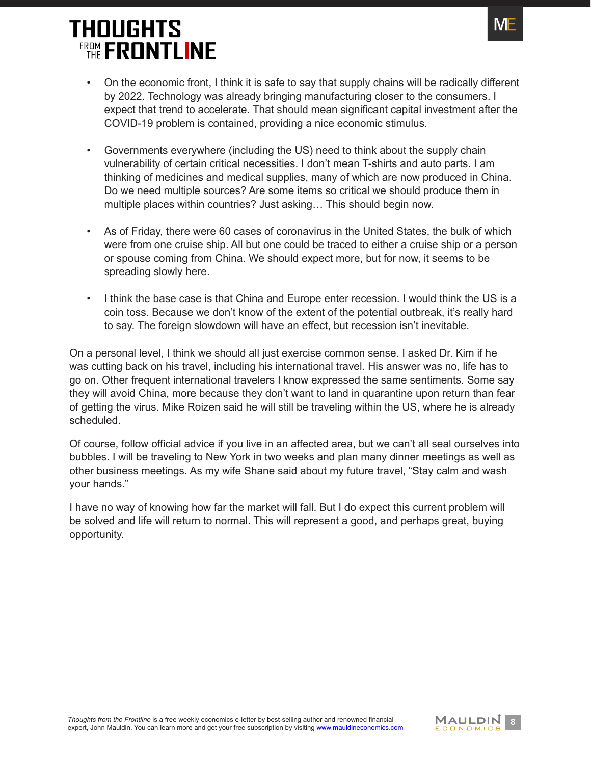

- On the economic front, I think it is safe to say that supply chains will be radically different by 2022. Technology was already bringing manufacturing closer to the consumers. I expect that trend to accelerate. That should mean significant capital investment after the COVID-19 problem is contained, providing a nice economic stimulus.
- Governments everywhere (including the US) need to think about the supply chain vulnerability of certain critical necessities. I don't mean T-shirts and auto parts. I am thinking of medicines and medical supplies, many of which are now produced in China. Do we need multiple sources? Are some items so critical we should produce them in multiple places within countries? Just asking… This should begin now.
- As of Friday, there were 60 cases of coronavirus in the United States, the bulk of which were from one cruise ship. All but one could be traced to either a cruise ship or a person or spouse coming from China. We should expect more, but for now, it seems to be spreading slowly here.
- I think the base case is that China and Europe enter recession. I would think the US is a coin toss. Because we don't know of the extent of the potential outbreak, it's really hard to say. The foreign slowdown will have an effect, but recession isn't inevitable.

On a personal level, I think we should all just exercise common sense. I asked Dr. Kim if he was cutting back on his travel, including his international travel. His answer was no, life has to go on. Other frequent international travelers I know expressed the same sentiments. Some say they will avoid China, more because they don't want to land in quarantine upon return than fear of getting the virus. Mike Roizen said he will still be traveling within the US, where he is already scheduled.

Of course, follow official advice if you live in an affected area, but we can't all seal ourselves into bubbles. I will be traveling to New York in two weeks and plan many dinner meetings as well as other business meetings. As my wife Shane said about my future travel, "Stay calm and wash your hands."

I have no way of knowing how far the market will fall. But I do expect this current problem will be solved and life will return to normal. This will represent a good, and perhaps great, buying opportunity.

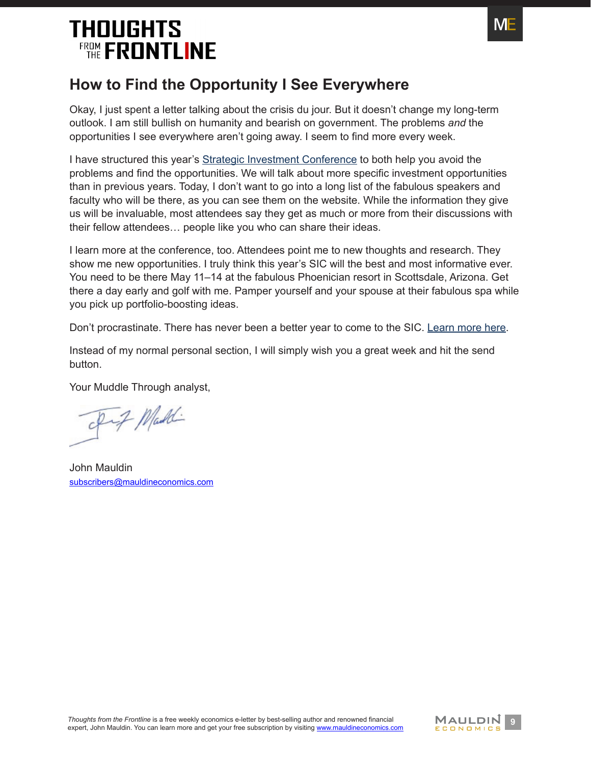

#### <span id="page-8-0"></span>**How to Find the Opportunity I See Everywhere**

Okay, I just spent a letter talking about the crisis du jour. But it doesn't change my long-term outlook. I am still bullish on humanity and bearish on government. The problems *and* the opportunities I see everywhere aren't going away. I seem to find more every week.

I have structured this year's [Strategic Investment Conference](https://www.mauldineconomics.com/go/pzxgq9pr/MEC) to both help you avoid the problems and find the opportunities. We will talk about more specific investment opportunities than in previous years. Today, I don't want to go into a long list of the fabulous speakers and faculty who will be there, as you can see them on the website. While the information they give us will be invaluable, most attendees say they get as much or more from their discussions with their fellow attendees… people like you who can share their ideas.

I learn more at the conference, too. Attendees point me to new thoughts and research. They show me new opportunities. I truly think this year's SIC will the best and most informative ever. You need to be there May 11–14 at the fabulous Phoenician resort in Scottsdale, Arizona. Get there a day early and golf with me. Pamper yourself and your spouse at their fabulous spa while you pick up portfolio-boosting ideas.

Don't procrastinate. There has never been a better year to come to the SIC. [Learn more here](https://www.mauldineconomics.com/go/pzxgq9pr/MEC).

Instead of my normal personal section, I will simply wish you a great week and hit the send button.

Your Muddle Through analyst,

Inf Maddi

John Mauldin [subscribers@mauldineconomics.com](mailto:subscribers%40mauldineconomics.com?subject=)